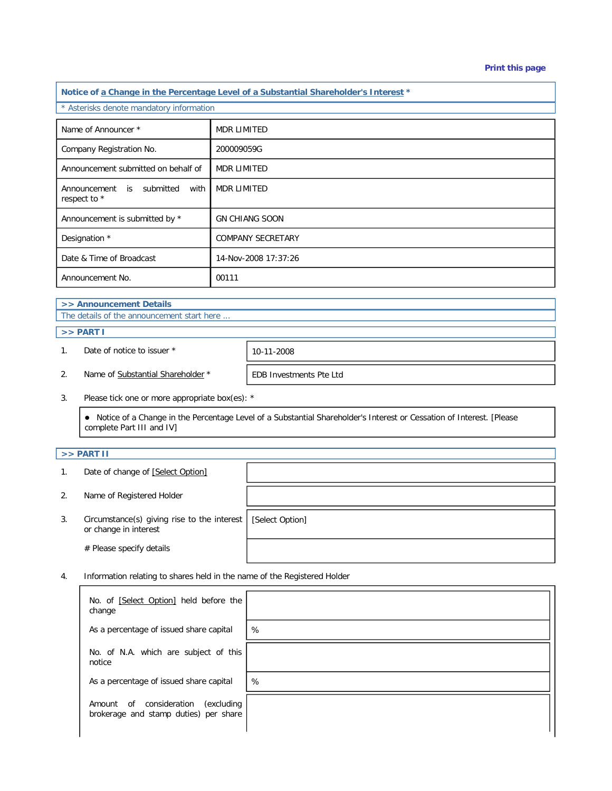| Notice of a Change in the Percentage Level of a Substantial Shareholder's Interest * |                          |  |  |  |
|--------------------------------------------------------------------------------------|--------------------------|--|--|--|
| * Asterisks denote mandatory information                                             |                          |  |  |  |
| Name of Announcer *                                                                  | <b>MDR LIMITED</b>       |  |  |  |
| Company Registration No.                                                             | 200009059G               |  |  |  |
| Announcement submitted on behalf of                                                  | <b>MDR LIMITED</b>       |  |  |  |
| Announcement<br>is submitted<br>with<br>respect to *                                 | <b>MDR LIMITED</b>       |  |  |  |
| Announcement is submitted by *                                                       | <b>GN CHIANG SOON</b>    |  |  |  |
| Designation *                                                                        | <b>COMPANY SECRETARY</b> |  |  |  |
| Date & Time of Broadcast                                                             | 14-Nov-2008 17:37:26     |  |  |  |
| Announcement No.                                                                     | 00111                    |  |  |  |
| >> Announcement Details                                                              |                          |  |  |  |
| The details of the announcement start here                                           |                          |  |  |  |

## $\Rightarrow$  **PART I**

1. Date of notice to issuer \* 10-11-2008

2. Name of Substantial Shareholder \* FEDB Investments Pte Ltd

3. Please tick one or more appropriate box(es): \*

 Notice of a Change in the Percentage Level of a Substantial Shareholder's Interest or Cessation of Interest. [Please complete Part III and IV]

## **>> PART II**

- 1. Date of change of [Select Option]
- 2. Name of Registered Holder
- 3. Circumstance(s) giving rise to the interest or change in interest

# Please specify details

[Select Option]

4. Information relating to shares held in the name of the Registered Holder

| No. of [Select Option] held before the<br>change                                     |   |
|--------------------------------------------------------------------------------------|---|
| As a percentage of issued share capital                                              | % |
| No. of N.A. which are subject of this<br>notice                                      |   |
| As a percentage of issued share capital                                              | % |
| consideration<br>(excluding<br>of<br>Amount<br>brokerage and stamp duties) per share |   |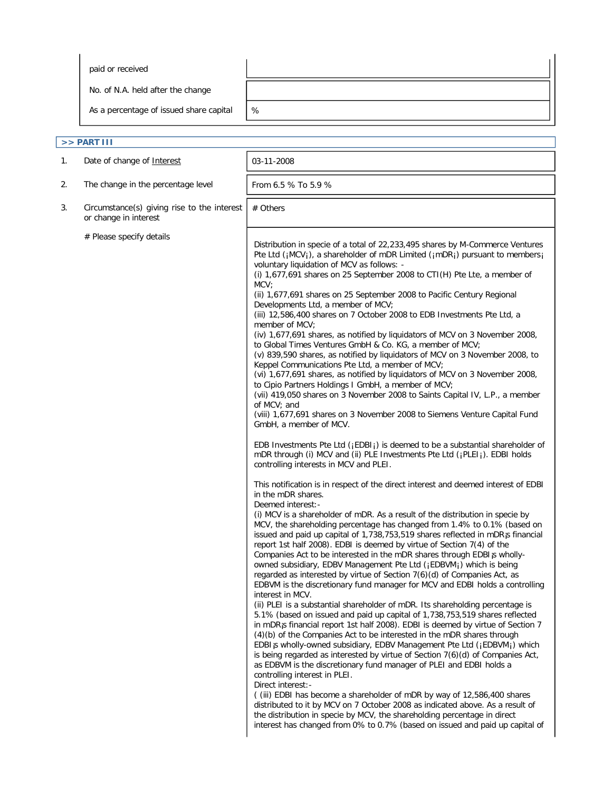paid or received

No. of N.A. held after the change

As a percentage of issued share capital  $\sqrt{\frac{2}{5}}$ 

| >> PART III |                                                                      |                                                                                                                                                                                                                                                                                                                                                                                                                                                                                                                                                                                                                                                                                                                                                                                                                                                                                                                                                                                                                                                                                                                                                                                                                                                                                                                                                                                                                                                                                                                                                                                                                                                                                                                                                                                                                                                                                                                                                                                                                                                                                                                                                                                                                                                                                                                                                                                                                                                                                                                                                                                                                                                                                                                                                                                                                                                                                                                                                                                                                                                                                                                                                                         |  |  |  |
|-------------|----------------------------------------------------------------------|-------------------------------------------------------------------------------------------------------------------------------------------------------------------------------------------------------------------------------------------------------------------------------------------------------------------------------------------------------------------------------------------------------------------------------------------------------------------------------------------------------------------------------------------------------------------------------------------------------------------------------------------------------------------------------------------------------------------------------------------------------------------------------------------------------------------------------------------------------------------------------------------------------------------------------------------------------------------------------------------------------------------------------------------------------------------------------------------------------------------------------------------------------------------------------------------------------------------------------------------------------------------------------------------------------------------------------------------------------------------------------------------------------------------------------------------------------------------------------------------------------------------------------------------------------------------------------------------------------------------------------------------------------------------------------------------------------------------------------------------------------------------------------------------------------------------------------------------------------------------------------------------------------------------------------------------------------------------------------------------------------------------------------------------------------------------------------------------------------------------------------------------------------------------------------------------------------------------------------------------------------------------------------------------------------------------------------------------------------------------------------------------------------------------------------------------------------------------------------------------------------------------------------------------------------------------------------------------------------------------------------------------------------------------------------------------------------------------------------------------------------------------------------------------------------------------------------------------------------------------------------------------------------------------------------------------------------------------------------------------------------------------------------------------------------------------------------------------------------------------------------------------------------------------------|--|--|--|
| 1.          | Date of change of Interest                                           | 03-11-2008                                                                                                                                                                                                                                                                                                                                                                                                                                                                                                                                                                                                                                                                                                                                                                                                                                                                                                                                                                                                                                                                                                                                                                                                                                                                                                                                                                                                                                                                                                                                                                                                                                                                                                                                                                                                                                                                                                                                                                                                                                                                                                                                                                                                                                                                                                                                                                                                                                                                                                                                                                                                                                                                                                                                                                                                                                                                                                                                                                                                                                                                                                                                                              |  |  |  |
| 2.          | The change in the percentage level                                   | From 6.5 % To 5.9 %                                                                                                                                                                                                                                                                                                                                                                                                                                                                                                                                                                                                                                                                                                                                                                                                                                                                                                                                                                                                                                                                                                                                                                                                                                                                                                                                                                                                                                                                                                                                                                                                                                                                                                                                                                                                                                                                                                                                                                                                                                                                                                                                                                                                                                                                                                                                                                                                                                                                                                                                                                                                                                                                                                                                                                                                                                                                                                                                                                                                                                                                                                                                                     |  |  |  |
| 3.          | Circumstance(s) giving rise to the interest<br>or change in interest | # Others                                                                                                                                                                                                                                                                                                                                                                                                                                                                                                                                                                                                                                                                                                                                                                                                                                                                                                                                                                                                                                                                                                                                                                                                                                                                                                                                                                                                                                                                                                                                                                                                                                                                                                                                                                                                                                                                                                                                                                                                                                                                                                                                                                                                                                                                                                                                                                                                                                                                                                                                                                                                                                                                                                                                                                                                                                                                                                                                                                                                                                                                                                                                                                |  |  |  |
|             | # Please specify details                                             | Distribution in specie of a total of 22,233,495 shares by M-Commerce Ventures<br>Pte Ltd ( $iMCV_i$ ), a shareholder of mDR Limited ( $iMDR_i$ ) pursuant to members $i$<br>voluntary liquidation of MCV as follows: -<br>(i) $1,677,691$ shares on 25 September 2008 to CTI(H) Pte Lte, a member of<br>MCV<br>(ii) 1,677,691 shares on 25 September 2008 to Pacific Century Regional<br>Developments Ltd, a member of MCV;<br>(iii) 12,586,400 shares on 7 October 2008 to EDB Investments Pte Ltd, a<br>member of MCV;<br>(iv) 1,677,691 shares, as notified by liquidators of MCV on 3 November 2008,<br>to Global Times Ventures GmbH & Co. KG, a member of MCV;<br>(v) 839,590 shares, as notified by liquidators of MCV on 3 November 2008, to<br>Keppel Communications Pte Ltd, a member of MCV;<br>(vi) 1,677,691 shares, as notified by liquidators of MCV on 3 November 2008,<br>to Cipio Partners Holdings I GmbH, a member of MCV;<br>(vii) 419,050 shares on 3 November 2008 to Saints Capital IV, L.P., a member<br>of MCV; and<br>(viii) 1,677,691 shares on 3 November 2008 to Siemens Venture Capital Fund<br>GmbH, a member of MCV.<br>EDB Investments Pte Ltd ( $_i$ EDBI $_i$ ) is deemed to be a substantial shareholder of<br>mDR through (i) MCV and (ii) PLE Investments Pte Ltd (jPLEIj). EDBI holds<br>controlling interests in MCV and PLEI.<br>This notification is in respect of the direct interest and deemed interest of EDBI<br>in the mDR shares.<br>Deemed interest:-<br>(i) MCV is a shareholder of mDR. As a result of the distribution in specie by<br>MCV, the shareholding percentage has changed from 1.4% to 0.1% (based on<br>issued and paid up capital of 1,738,753,519 shares reflected in mDR <sub>i</sub> s financial<br>report 1st half 2008). EDBI is deemed by virtue of Section 7(4) of the<br>Companies Act to be interested in the mDR shares through EDBI is wholly-<br>owned subsidiary, EDBV Management Pte Ltd (¡EDBVM¡) which is being<br>regarded as interested by virtue of Section 7(6)(d) of Companies Act, as<br>EDBVM is the discretionary fund manager for MCV and EDBI holds a controlling<br>interest in MCV.<br>(ii) PLEI is a substantial shareholder of mDR. Its shareholding percentage is<br>5.1% (based on issued and paid up capital of 1,738,753,519 shares reflected<br>in mDR <sub>i</sub> s financial report 1st half 2008). EDBI is deemed by virtue of Section 7<br>(4)(b) of the Companies Act to be interested in the mDR shares through<br>EDBI <sub>j</sub> s wholly-owned subsidiary, EDBV Management Pte Ltd (¡EDBVM <sub>i</sub> ) which<br>is being regarded as interested by virtue of Section 7(6)(d) of Companies Act,<br>as EDBVM is the discretionary fund manager of PLEI and EDBI holds a<br>controlling interest in PLEI.<br>Direct interest:-<br>((iii) EDBI has become a shareholder of mDR by way of 12,586,400 shares<br>distributed to it by MCV on 7 October 2008 as indicated above. As a result of<br>the distribution in specie by MCV, the shareholding percentage in direct<br>interest has changed from 0% to 0.7% (based on issued and paid up capital of |  |  |  |